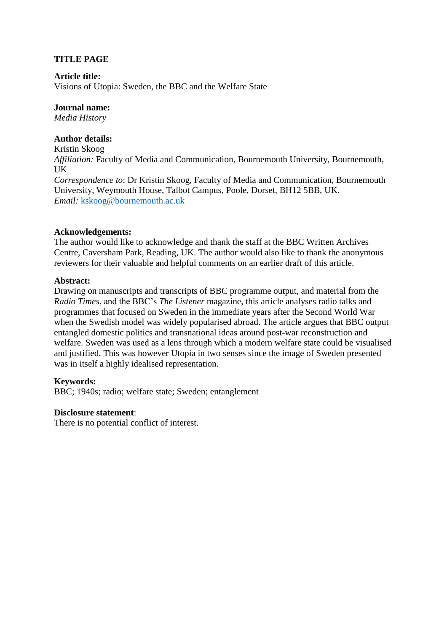# **TITLE PAGE**

### **Article title:**

Visions of Utopia: Sweden, the BBC and the Welfare State

## **Journal name:**

*Media History*

## **Author details:**

Kristin Skoog *Affiliation:* Faculty of Media and Communication, Bournemouth University, Bournemouth, UK

*Correspondence to*: Dr Kristin Skoog, Faculty of Media and Communication, Bournemouth University, Weymouth House, Talbot Campus, Poole, Dorset, BH12 5BB, UK. *Email:* [kskoog@bournemouth.ac.uk](mailto:kskoog@bournemouth.ac.uk)

### **Acknowledgements:**

The author would like to acknowledge and thank the staff at the BBC Written Archives Centre, Caversham Park, Reading, UK. The author would also like to thank the anonymous reviewers for their valuable and helpful comments on an earlier draft of this article.

### **Abstract:**

Drawing on manuscripts and transcripts of BBC programme output, and material from the *Radio Times*, and the BBC's *The Listener* magazine, this article analyses radio talks and programmes that focused on Sweden in the immediate years after the Second World War when the Swedish model was widely popularised abroad. The article argues that BBC output entangled domestic politics and transnational ideas around post-war reconstruction and welfare. Sweden was used as a lens through which a modern welfare state could be visualised and justified. This was however Utopia in two senses since the image of Sweden presented was in itself a highly idealised representation.

### **Keywords:**

BBC; 1940s; radio; welfare state; Sweden; entanglement

### **Disclosure statement**:

There is no potential conflict of interest.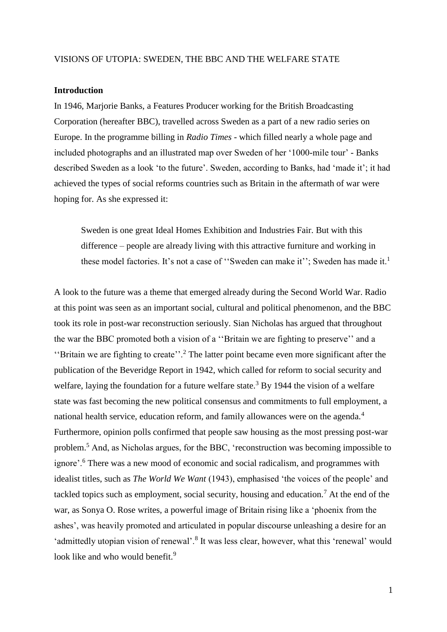#### VISIONS OF UTOPIA: SWEDEN, THE BBC AND THE WELFARE STATE

#### **Introduction**

In 1946, Marjorie Banks, a Features Producer working for the British Broadcasting Corporation (hereafter BBC), travelled across Sweden as a part of a new radio series on Europe. In the programme billing in *Radio Times* - which filled nearly a whole page and included photographs and an illustrated map over Sweden of her '1000-mile tour' - Banks described Sweden as a look 'to the future'. Sweden, according to Banks, had 'made it'; it had achieved the types of social reforms countries such as Britain in the aftermath of war were hoping for. As she expressed it:

Sweden is one great Ideal Homes Exhibition and Industries Fair. But with this difference – people are already living with this attractive furniture and working in these model factories. It's not a case of "Sweden can make it"; Sweden has made it.<sup>1</sup>

A look to the future was a theme that emerged already during the Second World War. Radio at this point was seen as an important social, cultural and political phenomenon, and the BBC took its role in post-war reconstruction seriously. Sian Nicholas has argued that throughout the war the BBC promoted both a vision of a ''Britain we are fighting to preserve'' and a ''Britain we are fighting to create''.<sup>2</sup> The latter point became even more significant after the publication of the Beveridge Report in 1942, which called for reform to social security and welfare, laying the foundation for a future welfare state.<sup>3</sup> By 1944 the vision of a welfare state was fast becoming the new political consensus and commitments to full employment, a national health service, education reform, and family allowances were on the agenda.<sup>4</sup> Furthermore, opinion polls confirmed that people saw housing as the most pressing post-war problem.<sup>5</sup> And, as Nicholas argues, for the BBC, 'reconstruction was becoming impossible to ignore'.<sup>6</sup> There was a new mood of economic and social radicalism, and programmes with idealist titles, such as *The World We Want* (1943), emphasised 'the voices of the people' and tackled topics such as employment, social security, housing and education.<sup>7</sup> At the end of the war, as Sonya O. Rose writes, a powerful image of Britain rising like a 'phoenix from the ashes', was heavily promoted and articulated in popular discourse unleashing a desire for an 'admittedly utopian vision of renewal'.<sup>8</sup> It was less clear, however, what this 'renewal' would look like and who would benefit.<sup>9</sup>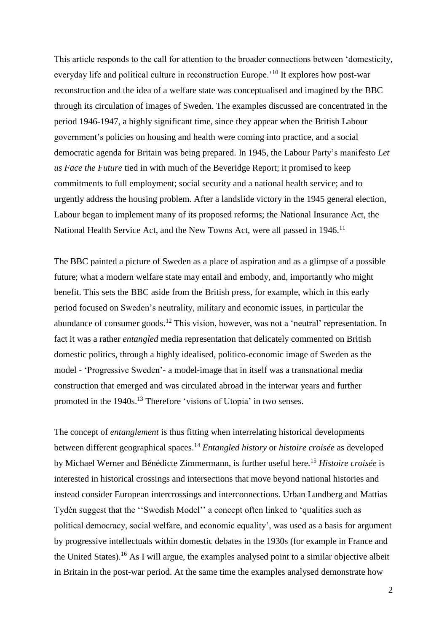This article responds to the call for attention to the broader connections between 'domesticity, everyday life and political culture in reconstruction Europe.'<sup>10</sup> It explores how post-war reconstruction and the idea of a welfare state was conceptualised and imagined by the BBC through its circulation of images of Sweden. The examples discussed are concentrated in the period 1946-1947, a highly significant time, since they appear when the British Labour government's policies on housing and health were coming into practice, and a social democratic agenda for Britain was being prepared. In 1945, the Labour Party's manifesto *Let us Face the Future* tied in with much of the Beveridge Report; it promised to keep commitments to full employment; social security and a national health service; and to urgently address the housing problem. After a landslide victory in the 1945 general election, Labour began to implement many of its proposed reforms; the National Insurance Act, the National Health Service Act, and the New Towns Act, were all passed in 1946.<sup>11</sup>

The BBC painted a picture of Sweden as a place of aspiration and as a glimpse of a possible future; what a modern welfare state may entail and embody, and, importantly who might benefit. This sets the BBC aside from the British press, for example, which in this early period focused on Sweden's neutrality, military and economic issues, in particular the abundance of consumer goods.<sup>12</sup> This vision, however, was not a 'neutral' representation. In fact it was a rather *entangled* media representation that delicately commented on British domestic politics, through a highly idealised, politico-economic image of Sweden as the model - 'Progressive Sweden'- a model-image that in itself was a transnational media construction that emerged and was circulated abroad in the interwar years and further promoted in the 1940s.<sup>13</sup> Therefore 'visions of Utopia' in two senses.

The concept of *entanglement* is thus fitting when interrelating historical developments between different geographical spaces.<sup>14</sup> *Entangled history* or *histoire croisée* as developed by Michael Werner and Bénédicte Zimmermann, is further useful here.<sup>15</sup> *Histoire croisée* is interested in historical crossings and intersections that move beyond national histories and instead consider European intercrossings and interconnections. Urban Lundberg and Mattias Tydén suggest that the ''Swedish Model'' a concept often linked to 'qualities such as political democracy, social welfare, and economic equality', was used as a basis for argument by progressive intellectuals within domestic debates in the 1930s (for example in France and the United States).<sup>16</sup> As I will argue, the examples analysed point to a similar objective albeit in Britain in the post-war period. At the same time the examples analysed demonstrate how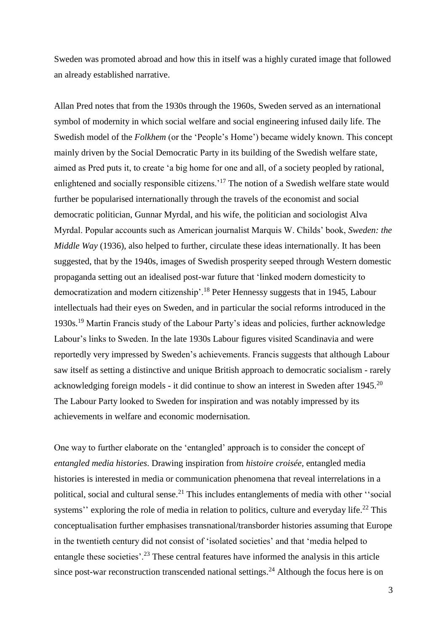Sweden was promoted abroad and how this in itself was a highly curated image that followed an already established narrative.

Allan Pred notes that from the 1930s through the 1960s, Sweden served as an international symbol of modernity in which social welfare and social engineering infused daily life. The Swedish model of the *Folkhem* (or the 'People's Home') became widely known. This concept mainly driven by the Social Democratic Party in its building of the Swedish welfare state, aimed as Pred puts it, to create 'a big home for one and all, of a society peopled by rational, enlightened and socially responsible citizens.<sup>17</sup> The notion of a Swedish welfare state would further be popularised internationally through the travels of the economist and social democratic politician, Gunnar Myrdal, and his wife, the politician and sociologist Alva Myrdal. Popular accounts such as American journalist Marquis W. Childs' book, *Sweden: the Middle Way* (1936), also helped to further, circulate these ideas internationally. It has been suggested, that by the 1940s, images of Swedish prosperity seeped through Western domestic propaganda setting out an idealised post-war future that 'linked modern domesticity to democratization and modern citizenship'.<sup>18</sup> Peter Hennessy suggests that in 1945, Labour intellectuals had their eyes on Sweden, and in particular the social reforms introduced in the 1930s.<sup>19</sup> Martin Francis study of the Labour Party's ideas and policies, further acknowledge Labour's links to Sweden. In the late 1930s Labour figures visited Scandinavia and were reportedly very impressed by Sweden's achievements. Francis suggests that although Labour saw itself as setting a distinctive and unique British approach to democratic socialism - rarely acknowledging foreign models - it did continue to show an interest in Sweden after 1945.<sup>20</sup> The Labour Party looked to Sweden for inspiration and was notably impressed by its achievements in welfare and economic modernisation.

One way to further elaborate on the 'entangled' approach is to consider the concept of *entangled media histories*. Drawing inspiration from *histoire croisée,* entangled media histories is interested in media or communication phenomena that reveal interrelations in a political, social and cultural sense.<sup>21</sup> This includes entanglements of media with other "social" systems" exploring the role of media in relation to politics, culture and everyday life.<sup>22</sup> This conceptualisation further emphasises transnational/transborder histories assuming that Europe in the twentieth century did not consist of 'isolated societies' and that 'media helped to entangle these societies'.<sup>23</sup> These central features have informed the analysis in this article since post-war reconstruction transcended national settings.<sup>24</sup> Although the focus here is on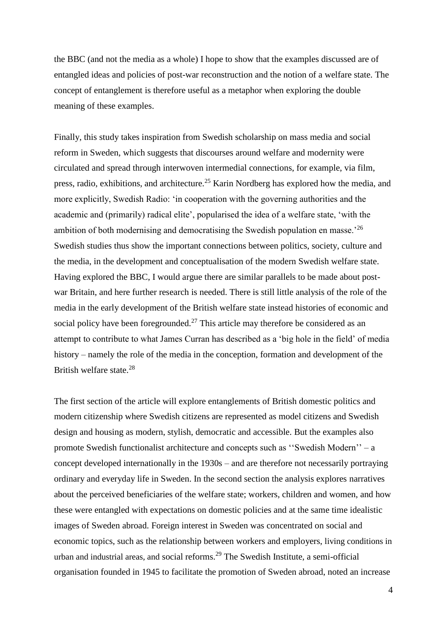the BBC (and not the media as a whole) I hope to show that the examples discussed are of entangled ideas and policies of post-war reconstruction and the notion of a welfare state. The concept of entanglement is therefore useful as a metaphor when exploring the double meaning of these examples.

Finally, this study takes inspiration from Swedish scholarship on mass media and social reform in Sweden, which suggests that discourses around welfare and modernity were circulated and spread through interwoven intermedial connections, for example, via film, press, radio, exhibitions, and architecture.<sup>25</sup> Karin Nordberg has explored how the media, and more explicitly, Swedish Radio: 'in cooperation with the governing authorities and the academic and (primarily) radical elite', popularised the idea of a welfare state, 'with the ambition of both modernising and democratising the Swedish population en masse.<sup>26</sup> Swedish studies thus show the important connections between politics, society, culture and the media, in the development and conceptualisation of the modern Swedish welfare state. Having explored the BBC, I would argue there are similar parallels to be made about postwar Britain, and here further research is needed. There is still little analysis of the role of the media in the early development of the British welfare state instead histories of economic and social policy have been foregrounded.<sup>27</sup> This article may therefore be considered as an attempt to contribute to what James Curran has described as a 'big hole in the field' of media history – namely the role of the media in the conception, formation and development of the British welfare state.<sup>28</sup>

The first section of the article will explore entanglements of British domestic politics and modern citizenship where Swedish citizens are represented as model citizens and Swedish design and housing as modern, stylish, democratic and accessible. But the examples also promote Swedish functionalist architecture and concepts such as ''Swedish Modern'' – a concept developed internationally in the 1930s – and are therefore not necessarily portraying ordinary and everyday life in Sweden. In the second section the analysis explores narratives about the perceived beneficiaries of the welfare state; workers, children and women, and how these were entangled with expectations on domestic policies and at the same time idealistic images of Sweden abroad. Foreign interest in Sweden was concentrated on social and economic topics, such as the relationship between workers and employers, living conditions in urban and industrial areas, and social reforms.<sup>29</sup> The Swedish Institute, a semi-official organisation founded in 1945 to facilitate the promotion of Sweden abroad, noted an increase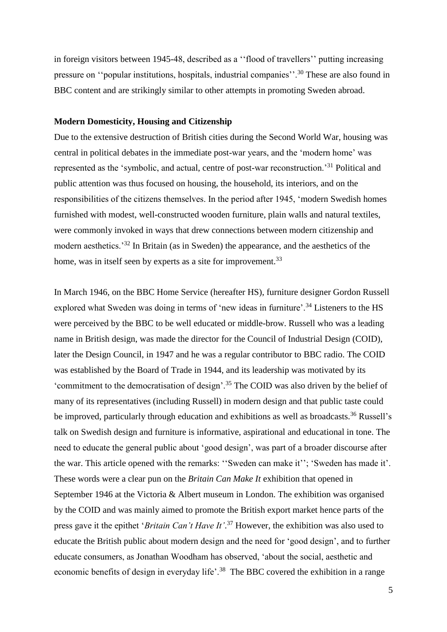in foreign visitors between 1945-48, described as a ''flood of travellers'' putting increasing pressure on ''popular institutions, hospitals, industrial companies''.<sup>30</sup> These are also found in BBC content and are strikingly similar to other attempts in promoting Sweden abroad.

#### **Modern Domesticity, Housing and Citizenship**

Due to the extensive destruction of British cities during the Second World War, housing was central in political debates in the immediate post-war years, and the 'modern home' was represented as the 'symbolic, and actual, centre of post-war reconstruction.'<sup>31</sup> Political and public attention was thus focused on housing, the household, its interiors, and on the responsibilities of the citizens themselves. In the period after 1945, 'modern Swedish homes furnished with modest, well-constructed wooden furniture, plain walls and natural textiles, were commonly invoked in ways that drew connections between modern citizenship and modern aesthetics.'<sup>32</sup> In Britain (as in Sweden) the appearance, and the aesthetics of the home, was in itself seen by experts as a site for improvement.<sup>33</sup>

In March 1946, on the BBC Home Service (hereafter HS), furniture designer Gordon Russell explored what Sweden was doing in terms of 'new ideas in furniture'.<sup>34</sup> Listeners to the HS were perceived by the BBC to be well educated or middle-brow. Russell who was a leading name in British design, was made the director for the Council of Industrial Design (COID), later the Design Council, in 1947 and he was a regular contributor to BBC radio. The COID was established by the Board of Trade in 1944, and its leadership was motivated by its 'commitment to the democratisation of design'.<sup>35</sup> The COID was also driven by the belief of many of its representatives (including Russell) in modern design and that public taste could be improved, particularly through education and exhibitions as well as broadcasts.<sup>36</sup> Russell's talk on Swedish design and furniture is informative, aspirational and educational in tone. The need to educate the general public about 'good design', was part of a broader discourse after the war. This article opened with the remarks: ''Sweden can make it''; 'Sweden has made it'. These words were a clear pun on the *Britain Can Make It* exhibition that opened in September 1946 at the Victoria & Albert museum in London. The exhibition was organised by the COID and was mainly aimed to promote the British export market hence parts of the press gave it the epithet '*Britain Can't Have It'*. <sup>37</sup> However, the exhibition was also used to educate the British public about modern design and the need for 'good design', and to further educate consumers, as Jonathan Woodham has observed, 'about the social, aesthetic and economic benefits of design in everyday life'.<sup>38</sup> The BBC covered the exhibition in a range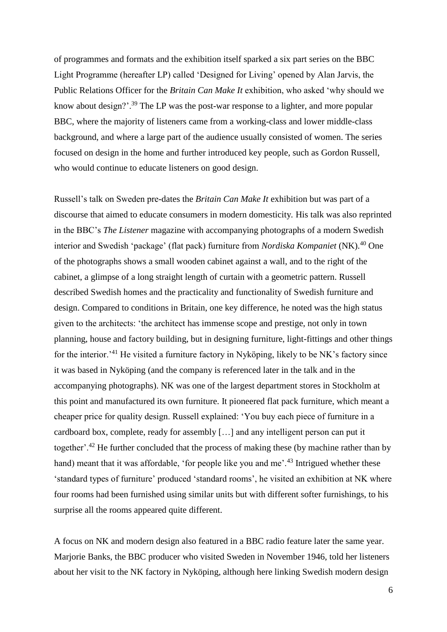of programmes and formats and the exhibition itself sparked a six part series on the BBC Light Programme (hereafter LP) called 'Designed for Living' opened by Alan Jarvis, the Public Relations Officer for the *Britain Can Make It* exhibition, who asked 'why should we know about design?'.<sup>39</sup> The LP was the post-war response to a lighter, and more popular BBC, where the majority of listeners came from a working-class and lower middle-class background, and where a large part of the audience usually consisted of women. The series focused on design in the home and further introduced key people, such as Gordon Russell, who would continue to educate listeners on good design.

Russell's talk on Sweden pre-dates the *Britain Can Make It* exhibition but was part of a discourse that aimed to educate consumers in modern domesticity*.* His talk was also reprinted in the BBC's *The Listener* magazine with accompanying photographs of a modern Swedish interior and Swedish 'package' (flat pack) furniture from *Nordiska Kompaniet* (NK).<sup>40</sup> One of the photographs shows a small wooden cabinet against a wall, and to the right of the cabinet, a glimpse of a long straight length of curtain with a geometric pattern. Russell described Swedish homes and the practicality and functionality of Swedish furniture and design. Compared to conditions in Britain, one key difference, he noted was the high status given to the architects: 'the architect has immense scope and prestige, not only in town planning, house and factory building, but in designing furniture, light-fittings and other things for the interior.'<sup>41</sup> He visited a furniture factory in Nyköping, likely to be NK's factory since it was based in Nyköping (and the company is referenced later in the talk and in the accompanying photographs). NK was one of the largest department stores in Stockholm at this point and manufactured its own furniture. It pioneered flat pack furniture, which meant a cheaper price for quality design. Russell explained: 'You buy each piece of furniture in a cardboard box, complete, ready for assembly […] and any intelligent person can put it together'.<sup>42</sup> He further concluded that the process of making these (by machine rather than by hand) meant that it was affordable, 'for people like you and me'.<sup>43</sup> Intrigued whether these 'standard types of furniture' produced 'standard rooms', he visited an exhibition at NK where four rooms had been furnished using similar units but with different softer furnishings, to his surprise all the rooms appeared quite different.

A focus on NK and modern design also featured in a BBC radio feature later the same year. Marjorie Banks, the BBC producer who visited Sweden in November 1946, told her listeners about her visit to the NK factory in Nyköping, although here linking Swedish modern design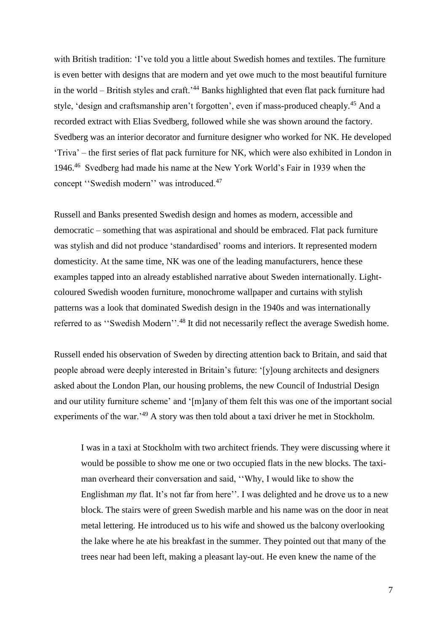with British tradition: 'I've told you a little about Swedish homes and textiles. The furniture is even better with designs that are modern and yet owe much to the most beautiful furniture in the world – British styles and craft.<sup> $44$ </sup> Banks highlighted that even flat pack furniture had style, 'design and craftsmanship aren't forgotten', even if mass-produced cheaply.<sup>45</sup> And a recorded extract with Elias Svedberg, followed while she was shown around the factory. Svedberg was an interior decorator and furniture designer who worked for NK. He developed 'Triva' – the first series of flat pack furniture for NK, which were also exhibited in London in 1946.<sup>46</sup> Svedberg had made his name at the New York World's Fair in 1939 when the concept ''Swedish modern'' was introduced.<sup>47</sup>

Russell and Banks presented Swedish design and homes as modern, accessible and democratic – something that was aspirational and should be embraced. Flat pack furniture was stylish and did not produce 'standardised' rooms and interiors. It represented modern domesticity. At the same time, NK was one of the leading manufacturers, hence these examples tapped into an already established narrative about Sweden internationally. Lightcoloured Swedish wooden furniture, monochrome wallpaper and curtains with stylish patterns was a look that dominated Swedish design in the 1940s and was internationally referred to as "Swedish Modern".<sup>48</sup> It did not necessarily reflect the average Swedish home.

Russell ended his observation of Sweden by directing attention back to Britain, and said that people abroad were deeply interested in Britain's future: '[y]oung architects and designers asked about the London Plan, our housing problems, the new Council of Industrial Design and our utility furniture scheme' and '[m]any of them felt this was one of the important social experiments of the war.<sup>'49</sup> A story was then told about a taxi driver he met in Stockholm.

I was in a taxi at Stockholm with two architect friends. They were discussing where it would be possible to show me one or two occupied flats in the new blocks. The taximan overheard their conversation and said, ''Why, I would like to show the Englishman *my* flat. It's not far from here''. I was delighted and he drove us to a new block. The stairs were of green Swedish marble and his name was on the door in neat metal lettering. He introduced us to his wife and showed us the balcony overlooking the lake where he ate his breakfast in the summer. They pointed out that many of the trees near had been left, making a pleasant lay-out. He even knew the name of the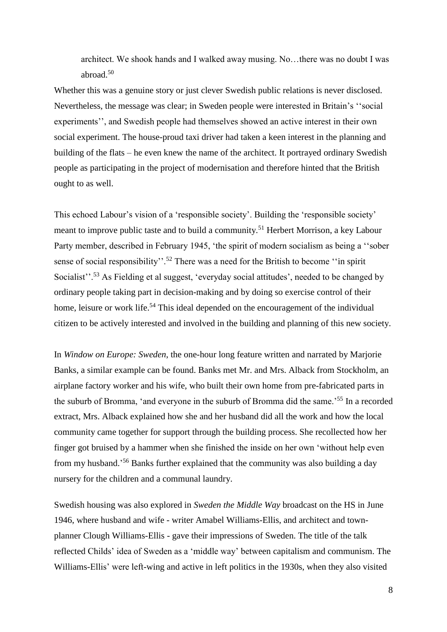architect. We shook hands and I walked away musing. No…there was no doubt I was abroad.<sup>50</sup>

Whether this was a genuine story or just clever Swedish public relations is never disclosed. Nevertheless, the message was clear; in Sweden people were interested in Britain's ''social experiments'', and Swedish people had themselves showed an active interest in their own social experiment. The house-proud taxi driver had taken a keen interest in the planning and building of the flats – he even knew the name of the architect. It portrayed ordinary Swedish people as participating in the project of modernisation and therefore hinted that the British ought to as well.

This echoed Labour's vision of a 'responsible society'. Building the 'responsible society' meant to improve public taste and to build a community.<sup>51</sup> Herbert Morrison, a key Labour Party member, described in February 1945, 'the spirit of modern socialism as being a ''sober sense of social responsibility".<sup>52</sup> There was a need for the British to become "in spirit Socialist''.<sup>53</sup> As Fielding et al suggest, 'everyday social attitudes', needed to be changed by ordinary people taking part in decision-making and by doing so exercise control of their home, leisure or work life.<sup>54</sup> This ideal depended on the encouragement of the individual citizen to be actively interested and involved in the building and planning of this new society.

In *Window on Europe: Sweden*, the one-hour long feature written and narrated by Marjorie Banks, a similar example can be found. Banks met Mr. and Mrs. Alback from Stockholm, an airplane factory worker and his wife, who built their own home from pre-fabricated parts in the suburb of Bromma, 'and everyone in the suburb of Bromma did the same.'<sup>55</sup> In a recorded extract, Mrs. Alback explained how she and her husband did all the work and how the local community came together for support through the building process. She recollected how her finger got bruised by a hammer when she finished the inside on her own 'without help even from my husband.<sup>56</sup> Banks further explained that the community was also building a day nursery for the children and a communal laundry.

Swedish housing was also explored in *Sweden the Middle Way* broadcast on the HS in June 1946, where husband and wife - writer Amabel Williams-Ellis, and architect and townplanner Clough Williams-Ellis - gave their impressions of Sweden. The title of the talk reflected Childs' idea of Sweden as a 'middle way' between capitalism and communism. The Williams-Ellis' were left-wing and active in left politics in the 1930s, when they also visited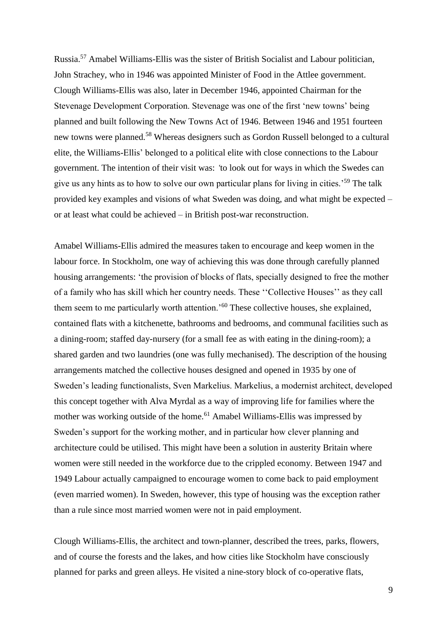Russia.<sup>57</sup> Amabel Williams-Ellis was the sister of British Socialist and Labour politician, John Strachey, who in 1946 was appointed Minister of Food in the Attlee government. Clough Williams-Ellis was also, later in December 1946, appointed Chairman for the Stevenage Development Corporation. Stevenage was one of the first 'new towns' being planned and built following the New Towns Act of 1946. Between 1946 and 1951 fourteen new towns were planned.<sup>58</sup> Whereas designers such as Gordon Russell belonged to a cultural elite, the Williams-Ellis' belonged to a political elite with close connections to the Labour government. The intention of their visit was: *'*to look out for ways in which the Swedes can give us any hints as to how to solve our own particular plans for living in cities.'<sup>59</sup> The talk provided key examples and visions of what Sweden was doing, and what might be expected – or at least what could be achieved – in British post-war reconstruction.

Amabel Williams-Ellis admired the measures taken to encourage and keep women in the labour force. In Stockholm, one way of achieving this was done through carefully planned housing arrangements: 'the provision of blocks of flats, specially designed to free the mother of a family who has skill which her country needs. These ''Collective Houses'' as they call them seem to me particularly worth attention.'<sup>60</sup> These collective houses, she explained, contained flats with a kitchenette, bathrooms and bedrooms, and communal facilities such as a dining-room; staffed day-nursery (for a small fee as with eating in the dining-room); a shared garden and two laundries (one was fully mechanised). The description of the housing arrangements matched the collective houses designed and opened in 1935 by one of Sweden's leading functionalists, Sven Markelius. Markelius, a modernist architect, developed this concept together with Alva Myrdal as a way of improving life for families where the mother was working outside of the home.<sup>61</sup> Amabel Williams-Ellis was impressed by Sweden's support for the working mother, and in particular how clever planning and architecture could be utilised. This might have been a solution in austerity Britain where women were still needed in the workforce due to the crippled economy. Between 1947 and 1949 Labour actually campaigned to encourage women to come back to paid employment (even married women). In Sweden, however, this type of housing was the exception rather than a rule since most married women were not in paid employment.

Clough Williams-Ellis, the architect and town-planner, described the trees, parks, flowers, and of course the forests and the lakes, and how cities like Stockholm have consciously planned for parks and green alleys. He visited a nine-story block of co-operative flats,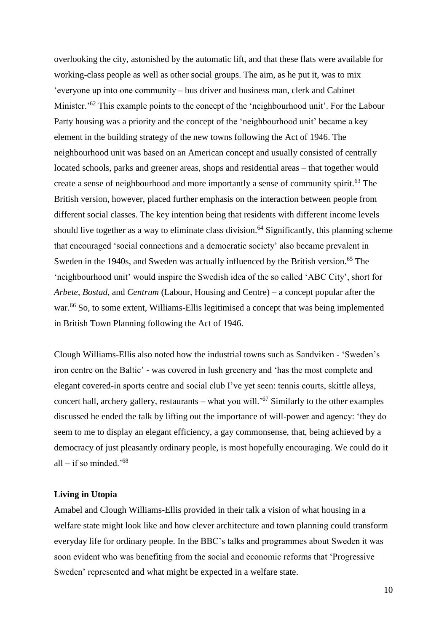overlooking the city, astonished by the automatic lift, and that these flats were available for working-class people as well as other social groups. The aim, as he put it, was to mix 'everyone up into one community – bus driver and business man, clerk and Cabinet Minister.<sup>'62</sup> This example points to the concept of the 'neighbourhood unit'. For the Labour Party housing was a priority and the concept of the 'neighbourhood unit' became a key element in the building strategy of the new towns following the Act of 1946. The neighbourhood unit was based on an American concept and usually consisted of centrally located schools, parks and greener areas, shops and residential areas – that together would create a sense of neighbourhood and more importantly a sense of community spirit.<sup>63</sup> The British version, however, placed further emphasis on the interaction between people from different social classes. The key intention being that residents with different income levels should live together as a way to eliminate class division.<sup>64</sup> Significantly, this planning scheme that encouraged 'social connections and a democratic society' also became prevalent in Sweden in the 1940s, and Sweden was actually influenced by the British version.<sup>65</sup> The 'neighbourhood unit' would inspire the Swedish idea of the so called 'ABC City', short for *Arbete*, *Bostad*, and *Centrum* (Labour, Housing and Centre) – a concept popular after the war.<sup>66</sup> So, to some extent, Williams-Ellis legitimised a concept that was being implemented in British Town Planning following the Act of 1946.

Clough Williams-Ellis also noted how the industrial towns such as Sandviken - 'Sweden's iron centre on the Baltic' - was covered in lush greenery and 'has the most complete and elegant covered-in sports centre and social club I've yet seen: tennis courts, skittle alleys, concert hall, archery gallery, restaurants – what you will.'<sup>67</sup> Similarly to the other examples discussed he ended the talk by lifting out the importance of will-power and agency: 'they do seem to me to display an elegant efficiency, a gay commonsense, that, being achieved by a democracy of just pleasantly ordinary people, is most hopefully encouraging. We could do it all *–* if so minded.'<sup>68</sup>

### **Living in Utopia**

Amabel and Clough Williams-Ellis provided in their talk a vision of what housing in a welfare state might look like and how clever architecture and town planning could transform everyday life for ordinary people. In the BBC's talks and programmes about Sweden it was soon evident who was benefiting from the social and economic reforms that 'Progressive Sweden' represented and what might be expected in a welfare state.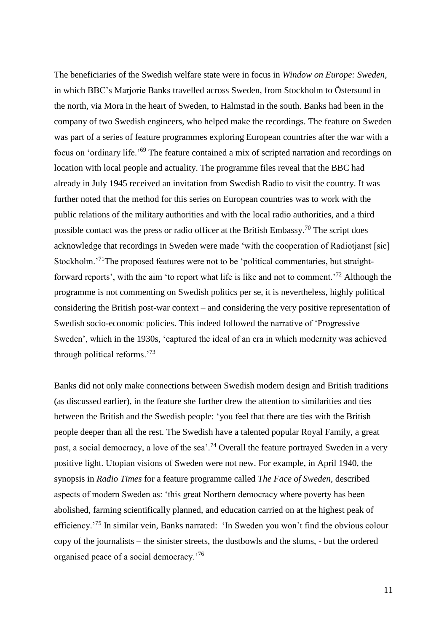The beneficiaries of the Swedish welfare state were in focus in *Window on Europe: Sweden*, in which BBC's Marjorie Banks travelled across Sweden, from Stockholm to Östersund in the north, via Mora in the heart of Sweden, to Halmstad in the south. Banks had been in the company of two Swedish engineers, who helped make the recordings. The feature on Sweden was part of a series of feature programmes exploring European countries after the war with a focus on 'ordinary life.'<sup>69</sup> The feature contained a mix of scripted narration and recordings on location with local people and actuality. The programme files reveal that the BBC had already in July 1945 received an invitation from Swedish Radio to visit the country. It was further noted that the method for this series on European countries was to work with the public relations of the military authorities and with the local radio authorities, and a third possible contact was the press or radio officer at the British Embassy.<sup>70</sup> The script does acknowledge that recordings in Sweden were made 'with the cooperation of Radiotjanst [sic] Stockholm.'<sup>71</sup>The proposed features were not to be 'political commentaries, but straightforward reports', with the aim 'to report what life is like and not to comment.'<sup>72</sup> Although the programme is not commenting on Swedish politics per se, it is nevertheless, highly political considering the British post-war context – and considering the very positive representation of Swedish socio-economic policies. This indeed followed the narrative of 'Progressive Sweden', which in the 1930s, 'captured the ideal of an era in which modernity was achieved through political reforms.'<sup>73</sup>

Banks did not only make connections between Swedish modern design and British traditions (as discussed earlier), in the feature she further drew the attention to similarities and ties between the British and the Swedish people: 'you feel that there are ties with the British people deeper than all the rest. The Swedish have a talented popular Royal Family, a great past, a social democracy, a love of the sea'.<sup>74</sup> Overall the feature portrayed Sweden in a very positive light. Utopian visions of Sweden were not new. For example, in April 1940, the synopsis in *Radio Times* for a feature programme called *The Face of Sweden*, described aspects of modern Sweden as: 'this great Northern democracy where poverty has been abolished, farming scientifically planned, and education carried on at the highest peak of efficiency.'<sup>75</sup> In similar vein, Banks narrated: 'In Sweden you won't find the obvious colour copy of the journalists – the sinister streets, the dustbowls and the slums, - but the ordered organised peace of a social democracy.<sup>76</sup>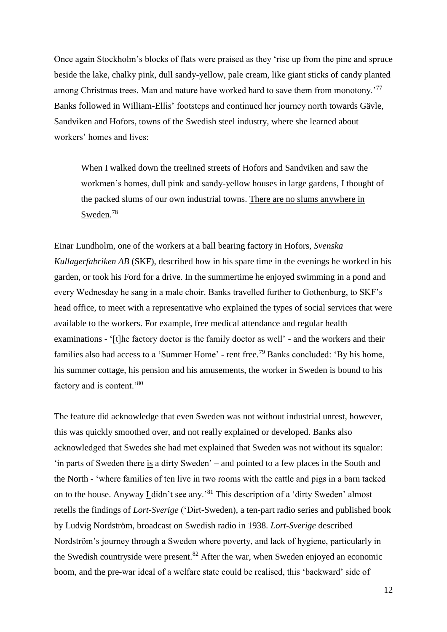Once again Stockholm's blocks of flats were praised as they 'rise up from the pine and spruce beside the lake, chalky pink, dull sandy-yellow, pale cream, like giant sticks of candy planted among Christmas trees. Man and nature have worked hard to save them from monotony.<sup>'77</sup> Banks followed in William-Ellis' footsteps and continued her journey north towards Gävle, Sandviken and Hofors, towns of the Swedish steel industry, where she learned about workers' homes and lives:

When I walked down the treelined streets of Hofors and Sandviken and saw the workmen's homes, dull pink and sandy-yellow houses in large gardens, I thought of the packed slums of our own industrial towns. There are no slums anywhere in Sweden.<sup>78</sup>

Einar Lundholm, one of the workers at a ball bearing factory in Hofors, *Svenska Kullagerfabriken AB* (SKF), described how in his spare time in the evenings he worked in his garden, or took his Ford for a drive. In the summertime he enjoyed swimming in a pond and every Wednesday he sang in a male choir. Banks travelled further to Gothenburg, to SKF's head office, to meet with a representative who explained the types of social services that were available to the workers. For example, free medical attendance and regular health examinations - '[t]he factory doctor is the family doctor as well' - and the workers and their families also had access to a 'Summer Home' - rent free.<sup>79</sup> Banks concluded: 'By his home, his summer cottage, his pension and his amusements, the worker in Sweden is bound to his factory and is content.'80

The feature did acknowledge that even Sweden was not without industrial unrest, however, this was quickly smoothed over, and not really explained or developed. Banks also acknowledged that Swedes she had met explained that Sweden was not without its squalor: 'in parts of Sweden there is a dirty Sweden' – and pointed to a few places in the South and the North - 'where families of ten live in two rooms with the cattle and pigs in a barn tacked on to the house. Anyway I didn't see any.<sup>81</sup> This description of a 'dirty Sweden' almost retells the findings of *Lort-Sverige* ('Dirt-Sweden), a ten-part radio series and published book by Ludvig Nordström, broadcast on Swedish radio in 1938. *Lort-Sverige* described Nordström's journey through a Sweden where poverty, and lack of hygiene, particularly in the Swedish countryside were present.<sup>82</sup> After the war, when Sweden enjoyed an economic boom, and the pre-war ideal of a welfare state could be realised, this 'backward' side of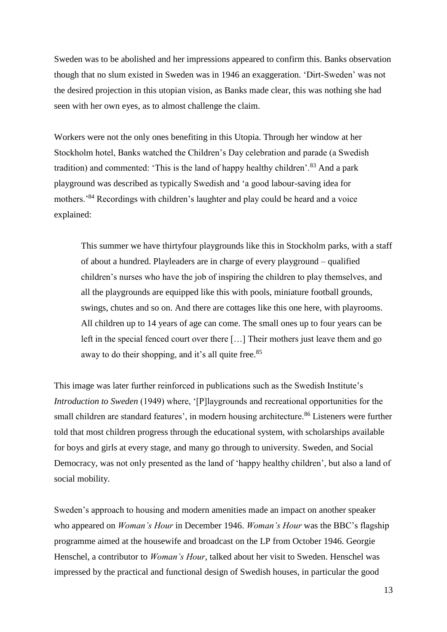Sweden was to be abolished and her impressions appeared to confirm this. Banks observation though that no slum existed in Sweden was in 1946 an exaggeration. 'Dirt-Sweden' was not the desired projection in this utopian vision, as Banks made clear, this was nothing she had seen with her own eyes*,* as to almost challenge the claim.

Workers were not the only ones benefiting in this Utopia. Through her window at her Stockholm hotel, Banks watched the Children's Day celebration and parade (a Swedish tradition) and commented: 'This is the land of happy healthy children'.<sup>83</sup> And a park playground was described as typically Swedish and 'a good labour-saving idea for mothers.'<sup>84</sup> Recordings with children's laughter and play could be heard and a voice explained:

This summer we have thirtyfour playgrounds like this in Stockholm parks, with a staff of about a hundred. Playleaders are in charge of every playground – qualified children's nurses who have the job of inspiring the children to play themselves, and all the playgrounds are equipped like this with pools, miniature football grounds, swings, chutes and so on. And there are cottages like this one here, with playrooms. All children up to 14 years of age can come. The small ones up to four years can be left in the special fenced court over there […] Their mothers just leave them and go away to do their shopping, and it's all quite free.<sup>85</sup>

This image was later further reinforced in publications such as the Swedish Institute's *Introduction to Sweden* (1949) where, '[P]laygrounds and recreational opportunities for the small children are standard features', in modern housing architecture.<sup>86</sup> Listeners were further told that most children progress through the educational system, with scholarships available for boys and girls at every stage, and many go through to university. Sweden, and Social Democracy, was not only presented as the land of 'happy healthy children', but also a land of social mobility.

Sweden's approach to housing and modern amenities made an impact on another speaker who appeared on *Woman's Hour* in December 1946. *Woman's Hour* was the BBC's flagship programme aimed at the housewife and broadcast on the LP from October 1946. Georgie Henschel, a contributor to *Woman's Hour*, talked about her visit to Sweden. Henschel was impressed by the practical and functional design of Swedish houses, in particular the good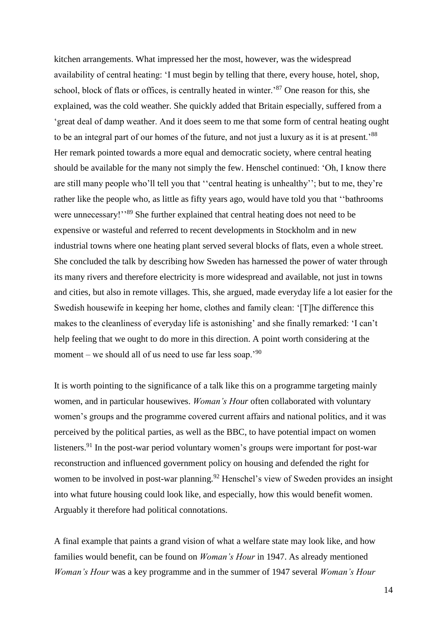kitchen arrangements. What impressed her the most, however, was the widespread availability of central heating: 'I must begin by telling that there, every house, hotel, shop, school, block of flats or offices, is centrally heated in winter.<sup>87</sup> One reason for this, she explained, was the cold weather. She quickly added that Britain especially, suffered from a 'great deal of damp weather. And it does seem to me that some form of central heating ought to be an integral part of our homes of the future, and not just a luxury as it is at present.'<sup>88</sup> Her remark pointed towards a more equal and democratic society, where central heating should be available for the many not simply the few. Henschel continued: 'Oh, I know there are still many people who'll tell you that ''central heating is unhealthy''; but to me, they're rather like the people who, as little as fifty years ago, would have told you that ''bathrooms were unnecessary!"<sup>89</sup> She further explained that central heating does not need to be expensive or wasteful and referred to recent developments in Stockholm and in new industrial towns where one heating plant served several blocks of flats, even a whole street. She concluded the talk by describing how Sweden has harnessed the power of water through its many rivers and therefore electricity is more widespread and available, not just in towns and cities, but also in remote villages. This, she argued, made everyday life a lot easier for the Swedish housewife in keeping her home, clothes and family clean: '[T]he difference this makes to the cleanliness of everyday life is astonishing' and she finally remarked: 'I can't help feeling that we ought to do more in this direction. A point worth considering at the moment – we should all of us need to use far less soap.<sup>'90</sup>

It is worth pointing to the significance of a talk like this on a programme targeting mainly women, and in particular housewives. *Woman's Hour* often collaborated with voluntary women's groups and the programme covered current affairs and national politics, and it was perceived by the political parties, as well as the BBC, to have potential impact on women listeners.<sup>91</sup> In the post-war period voluntary women's groups were important for post-war reconstruction and influenced government policy on housing and defended the right for women to be involved in post-war planning.<sup>92</sup> Henschel's view of Sweden provides an insight into what future housing could look like, and especially, how this would benefit women. Arguably it therefore had political connotations.

A final example that paints a grand vision of what a welfare state may look like, and how families would benefit, can be found on *Woman's Hour* in 1947. As already mentioned *Woman's Hour* was a key programme and in the summer of 1947 several *Woman's Hour*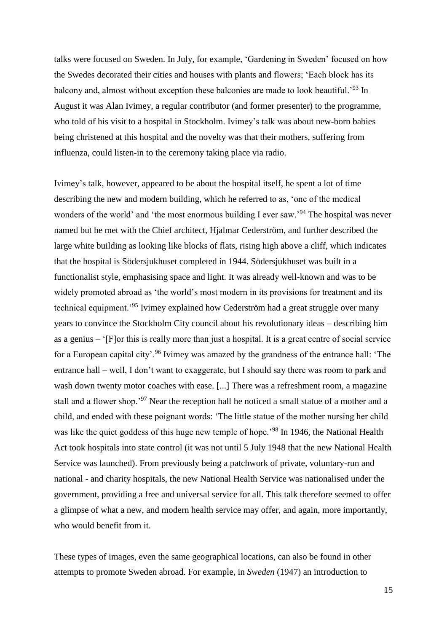talks were focused on Sweden. In July, for example, 'Gardening in Sweden' focused on how the Swedes decorated their cities and houses with plants and flowers; 'Each block has its balcony and, almost without exception these balconies are made to look beautiful.<sup>'93</sup> In August it was Alan Ivimey, a regular contributor (and former presenter) to the programme, who told of his visit to a hospital in Stockholm. Ivimey's talk was about new-born babies being christened at this hospital and the novelty was that their mothers, suffering from influenza, could listen-in to the ceremony taking place via radio.

Ivimey's talk, however, appeared to be about the hospital itself, he spent a lot of time describing the new and modern building, which he referred to as, 'one of the medical wonders of the world' and 'the most enormous building I ever saw.'<sup>94</sup> The hospital was never named but he met with the Chief architect, Hjalmar Cederström, and further described the large white building as looking like blocks of flats, rising high above a cliff, which indicates that the hospital is Södersjukhuset completed in 1944. Södersjukhuset was built in a functionalist style, emphasising space and light. It was already well-known and was to be widely promoted abroad as 'the world's most modern in its provisions for treatment and its technical equipment.'<sup>95</sup> Ivimey explained how Cederström had a great struggle over many years to convince the Stockholm City council about his revolutionary ideas – describing him as a genius – '[F]or this is really more than just a hospital. It is a great centre of social service for a European capital city'.<sup>96</sup> Ivimey was amazed by the grandness of the entrance hall: 'The entrance hall – well, I don't want to exaggerate, but I should say there was room to park and wash down twenty motor coaches with ease. [...] There was a refreshment room, a magazine stall and a flower shop.<sup>'97</sup> Near the reception hall he noticed a small statue of a mother and a child, and ended with these poignant words: 'The little statue of the mother nursing her child was like the quiet goddess of this huge new temple of hope.<sup>'98</sup> In 1946, the National Health Act took hospitals into state control (it was not until 5 July 1948 that the new National Health Service was launched). From previously being a patchwork of private, voluntary-run and national - and charity hospitals, the new National Health Service was nationalised under the government, providing a free and universal service for all. This talk therefore seemed to offer a glimpse of what a new, and modern health service may offer, and again, more importantly, who would benefit from it.

These types of images, even the same geographical locations, can also be found in other attempts to promote Sweden abroad. For example, in *Sweden* (1947) an introduction to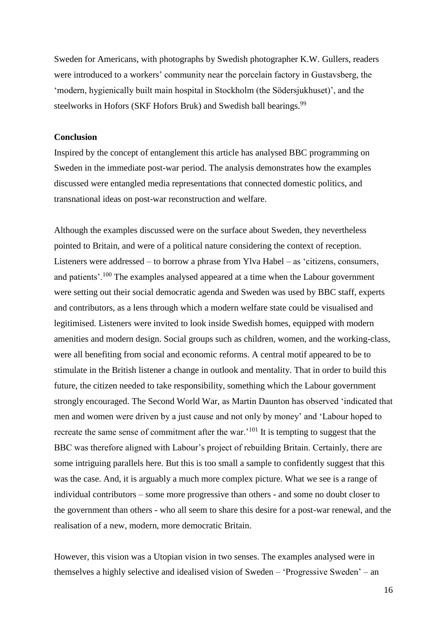Sweden for Americans, with photographs by Swedish photographer K.W. Gullers, readers were introduced to a workers' community near the porcelain factory in Gustavsberg, the 'modern, hygienically built main hospital in Stockholm (the Södersjukhuset)', and the steelworks in Hofors (SKF Hofors Bruk) and Swedish ball bearings.<sup>99</sup>

#### **Conclusion**

Inspired by the concept of entanglement this article has analysed BBC programming on Sweden in the immediate post-war period. The analysis demonstrates how the examples discussed were entangled media representations that connected domestic politics, and transnational ideas on post-war reconstruction and welfare.

Although the examples discussed were on the surface about Sweden, they nevertheless pointed to Britain, and were of a political nature considering the context of reception. Listeners were addressed – to borrow a phrase from Ylva Habel – as 'citizens, consumers, and patients'.<sup>100</sup> The examples analysed appeared at a time when the Labour government were setting out their social democratic agenda and Sweden was used by BBC staff, experts and contributors, as a lens through which a modern welfare state could be visualised and legitimised. Listeners were invited to look inside Swedish homes, equipped with modern amenities and modern design. Social groups such as children, women, and the working-class, were all benefiting from social and economic reforms. A central motif appeared to be to stimulate in the British listener a change in outlook and mentality. That in order to build this future, the citizen needed to take responsibility, something which the Labour government strongly encouraged. The Second World War, as Martin Daunton has observed 'indicated that men and women were driven by a just cause and not only by money' and 'Labour hoped to recreate the same sense of commitment after the war.'<sup>101</sup> It is tempting to suggest that the BBC was therefore aligned with Labour's project of rebuilding Britain. Certainly, there are some intriguing parallels here. But this is too small a sample to confidently suggest that this was the case. And, it is arguably a much more complex picture. What we see is a range of individual contributors – some more progressive than others - and some no doubt closer to the government than others - who all seem to share this desire for a post-war renewal, and the realisation of a new, modern, more democratic Britain.

However, this vision was a Utopian vision in two senses. The examples analysed were in themselves a highly selective and idealised vision of Sweden – 'Progressive Sweden' – an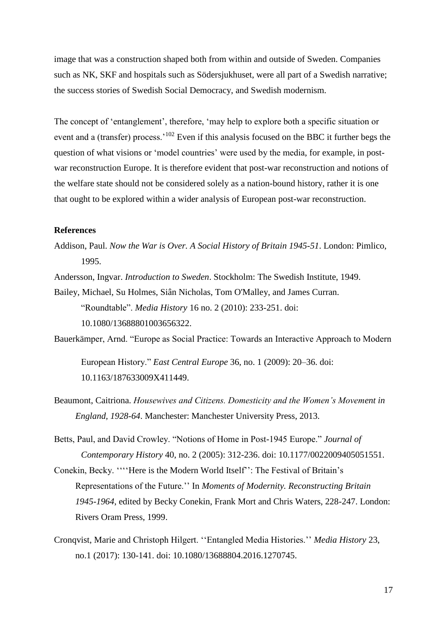image that was a construction shaped both from within and outside of Sweden. Companies such as NK, SKF and hospitals such as Södersjukhuset, were all part of a Swedish narrative; the success stories of Swedish Social Democracy, and Swedish modernism.

The concept of 'entanglement', therefore, 'may help to explore both a specific situation or event and a (transfer) process.<sup>'102</sup> Even if this analysis focused on the BBC it further begs the question of what visions or 'model countries' were used by the media, for example, in postwar reconstruction Europe. It is therefore evident that post-war reconstruction and notions of the welfare state should not be considered solely as a nation-bound history, rather it is one that ought to be explored within a wider analysis of European post-war reconstruction.

### **References**

- Addison, Paul. *Now the War is Over. A Social History of Britain 1945-51*. London: Pimlico, 1995.
- Andersson, Ingvar. *Introduction to Sweden*. Stockholm: The Swedish Institute, 1949.
- Bailey, Michael, Su Holmes, Siân Nicholas, Tom O'Malley, and James Curran. "Roundtable". *Media History* 16 no. 2 (2010): 233-251. doi: 10.1080/13688801003656322.

Bauerkämper, Arnd. "Europe as Social Practice: Towards an Interactive Approach to Modern

European History." *East Central Europe* 36, no. 1 (2009): 20–36. doi: 10.1163/187633009X411449.

- Beaumont, Caitriona. *Housewives and Citizens. Domesticity and the Women's Movement in England, 1928-64*. Manchester: Manchester University Press, 2013.
- Betts, Paul, and David Crowley. "Notions of Home in Post-1945 Europe." *Journal of Contemporary History* 40, no. 2 (2005): 312-236. doi: 10.1177/0022009405051551.
- Conekin, Becky. ''''Here is the Modern World Itself'': The Festival of Britain's Representations of the Future.'' In *Moments of Modernity. Reconstructing Britain 1945-1964*, edited by Becky Conekin, Frank Mort and Chris Waters, 228-247. London: Rivers Oram Press, 1999.
- Cronqvist, Marie and Christoph Hilgert. ''Entangled Media Histories.'' *Media History* 23, no.1 (2017): 130-141. doi: 10.1080/13688804.2016.1270745.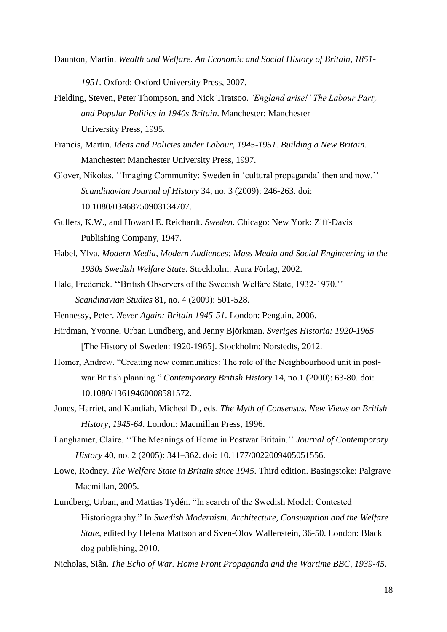Daunton, Martin. *Wealth and Welfare. An Economic and Social History of Britain, 1851-*

*1951*. Oxford: Oxford University Press, 2007.

- Fielding, Steven, Peter Thompson, and Nick Tiratsoo. *'England arise!' The Labour Party and Popular Politics in 1940s Britain*. Manchester: Manchester University Press, 1995.
- Francis, Martin. *Ideas and Policies under Labour, 1945-1951. Building a New Britain*. Manchester: Manchester University Press, 1997.
- Glover, Nikolas. ''Imaging Community: Sweden in 'cultural propaganda' then and now.'' *Scandinavian Journal of History* 34, no. 3 (2009): 246-263. doi: 10.1080/03468750903134707.
- Gullers, K.W., and Howard E. Reichardt. *Sweden*. Chicago: New York: Ziff-Davis Publishing Company, 1947.
- Habel, Ylva. *Modern Media, Modern Audiences: Mass Media and Social Engineering in the 1930s Swedish Welfare State*. Stockholm: Aura Förlag, 2002.
- Hale, Frederick. ''British Observers of the Swedish Welfare State, 1932-1970.'' *Scandinavian Studies* 81, no. 4 (2009): 501-528.
- Hennessy, Peter. *Never Again: Britain 1945-51*. London: Penguin, 2006.
- Hirdman, Yvonne, Urban Lundberg, and Jenny Björkman. *Sveriges Historia: 1920-1965* [The History of Sweden: 1920-1965]. Stockholm: Norstedts, 2012.
- Homer, Andrew. "Creating new communities: The role of the Neighbourhood unit in postwar British planning." *Contemporary British History* 14, no.1 (2000): 63-80. doi: 10.1080/13619460008581572.
- Jones, Harriet, and Kandiah, Micheal D., eds. *The Myth of Consensus. New Views on British History, 1945-64*. London: Macmillan Press, 1996.
- Langhamer, Claire. ''The Meanings of Home in Postwar Britain.'' *Journal of Contemporary History* 40, no. 2 (2005): 341–362. doi: 10.1177/0022009405051556.
- Lowe, Rodney. *The Welfare State in Britain since 1945*. Third edition. Basingstoke: Palgrave Macmillan, 2005.
- Lundberg, Urban, and Mattias Tydén. "In search of the Swedish Model: Contested Historiography." In *Swedish Modernism. Architecture, Consumption and the Welfare State*, edited by Helena Mattson and Sven-Olov Wallenstein, 36-50. London: Black dog publishing, 2010.

Nicholas, Siân. *The Echo of War. Home Front Propaganda and the Wartime BBC, 1939-45*.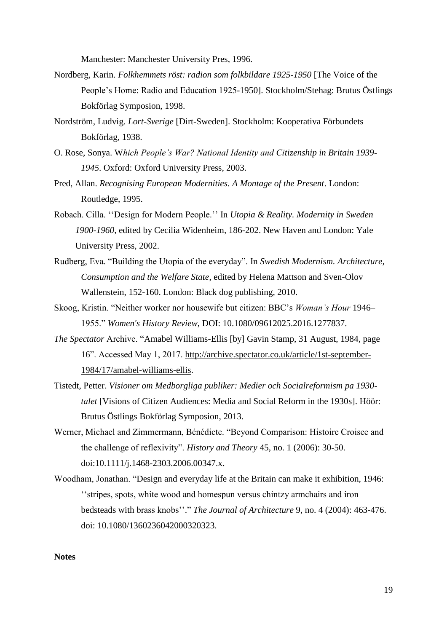Manchester: Manchester University Pres, 1996.

- Nordberg, Karin. *Folkhemmets röst: radion som folkbildare 1925-1950* [The Voice of the People's Home: Radio and Education 1925-1950]. Stockholm/Stehag: Brutus Östlings Bokförlag Symposion, 1998.
- Nordström, Ludvig. *Lort-Sverige* [Dirt-Sweden]. Stockholm: Kooperativa Förbundets Bokförlag, 1938.
- O. Rose, Sonya. W*hich People's War? National Identity and Citizenship in Britain 1939- 1945*. Oxford: Oxford University Press, 2003.
- Pred, Allan. *Recognising European Modernities. A Montage of the Present*. London: Routledge, 1995.
- Robach. Cilla. ''Design for Modern People.'' In *Utopia & Reality. Modernity in Sweden 1900-1960*, edited by Cecilia Widenheim, 186-202. New Haven and London: Yale University Press, 2002.
- Rudberg, Eva. "Building the Utopia of the everyday". In *Swedish Modernism. Architecture, Consumption and the Welfare State*, edited by Helena Mattson and Sven-Olov Wallenstein, 152-160. London: Black dog publishing, 2010.
- Skoog, Kristin. "Neither worker nor housewife but citizen: BBC's *Woman's Hour* 1946– 1955." *Women's History Review*, DOI: 10.1080/09612025.2016.1277837.
- *The Spectator* Archive. "Amabel Williams-Ellis [by] Gavin Stamp, 31 August, 1984, page 16". Accessed May 1, 2017. [http://archive.spectator.co.uk/article/1st-september-](http://archive.spectator.co.uk/article/1st-september-1984/17/amabel-williams-ellis)[1984/17/amabel-williams-ellis.](http://archive.spectator.co.uk/article/1st-september-1984/17/amabel-williams-ellis)
- Tistedt, Petter. *Visioner om Medborgliga publiker: Medier och Socialreformism pa 1930 talet* [Visions of Citizen Audiences: Media and Social Reform in the 1930s]. Höör: Brutus Östlings Bokförlag Symposion, 2013.
- Werner, Michael and Zimmermann, Bénédicte. "Beyond Comparison: Histoire Croisee and the challenge of reflexivity". *History and Theory* 45, no. 1 (2006): 30-50. doi:10.1111/j.1468-2303.2006.00347.x.
- Woodham, Jonathan. "Design and everyday life at the Britain can make it exhibition, 1946: ''stripes, spots, white wood and homespun versus chintzy armchairs and iron bedsteads with brass knobs''." *The Journal of Architecture* 9, no. 4 (2004): 463-476. doi: 10.1080/1360236042000320323.

## **Notes**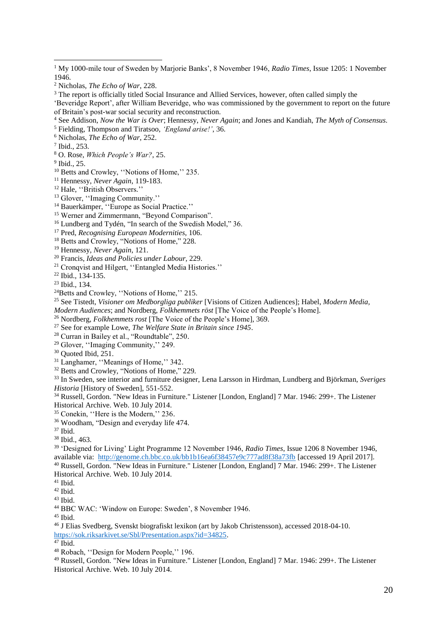<u>.</u>

O. Rose, *Which People's War?*, 25.

- <sup>10</sup> Betts and Crowley, "Notions of Home," 235.
- Hennessy, *Never Again*, 119-183.
- <sup>12</sup> Hale, "British Observers."
- <sup>13</sup> Glover, "Imaging Community."
- <sup>14</sup> Bauerkämper, "Europe as Social Practice."
- <sup>15</sup> Werner and Zimmermann, "Beyond Comparison".
- <sup>16</sup> Lundberg and Tydén, "In search of the Swedish Model," 36.
- Pred, *Recognising European Modernities*, 106.
- <sup>18</sup> Betts and Crowley, "Notions of Home," 228.
- Hennessy, *Never Again*, 121.
- Francis, *Ideas and Policies under Labour,* 229.
- <sup>21</sup> Cronqvist and Hilgert, "Entangled Media Histories."
- Ibid., 134-135.
- Ibid., 134.
- Betts and Crowley, ''Notions of Home,'' 215.
- See Tistedt, *Visioner om Medborgliga publiker* [Visions of Citizen Audiences]; Habel, *Modern Media, Modern Audiences*; and Nordberg, *Folkhemmets röst* [The Voice of the People's Home].
- Nordberg, *Folkhemmets rost* [The Voice of the People's Home], 369.
- See for example Lowe, *The Welfare State in Britain since 1945*.
- Curran in Bailey et al., "Roundtable", 250.
- <sup>29</sup> Glover, "Imaging Community," 249.
- Quoted Ibid,  $251$ .
- <sup>31</sup> Langhamer, "Meanings of Home," 342.
- <sup>32</sup> Betts and Crowley, "Notions of Home," 229.

 In Sweden, see interior and furniture designer, Lena Larsson in Hirdman, Lundberg and Björkman, *Sveriges Historia* [History of Sweden], 551-552.

 Russell, Gordon. "New Ideas in Furniture." Listener [London, England] 7 Mar. 1946: 299+. The Listener Historical Archive. Web. 10 July 2014.

<sup>35</sup> Conekin, "Here is the Modern," 236.

- Woodham, "Design and everyday life 474.
- Ibid.
- Ibid., 463.

 'Designed for Living' Light Programme 12 November 1946, *Radio Times*, Issue 1206 8 November 1946, available via:<http://genome.ch.bbc.co.uk/bb1b16ea6f38457e9c777ad8f38a73fb> [accessed 19 April 2017]. Russell, Gordon. "New Ideas in Furniture." Listener [London, England] 7 Mar. 1946: 299+. The Listener Historical Archive. Web. 10 July 2014.

Ibid.

BBC WAC: 'Window on Europe: Sweden', 8 November 1946.

Ibid.

 J Elias Svedberg, Svenskt biografiskt lexikon (art by Jakob Christensson), accessed 2018-04-10. [https://sok.riksarkivet.se/Sbl/Presentation.aspx?id=34825.](https://sok.riksarkivet.se/Sbl/Presentation.aspx?id=34825)

Ibid.

 Russell, Gordon. "New Ideas in Furniture." Listener [London, England] 7 Mar. 1946: 299+. The Listener Historical Archive. Web. 10 July 2014.

 My 1000-mile tour of Sweden by Marjorie Banks', 8 November 1946, *Radio Times*, Issue 1205: 1 November 1946.

Nicholas, *The Echo of War*, 228.

<sup>&</sup>lt;sup>3</sup> The report is officially titled Social Insurance and Allied Services, however, often called simply the

<sup>&#</sup>x27;Beveridge Report', after William Beveridge, who was commissioned by the government to report on the future of Britain's post-war social security and reconstruction.

See Addison, *Now the War is Over*; Hennessy, *Never Again*; and Jones and Kandiah, *The Myth of Consensus*.

Fielding, Thompson and Tiratsoo, *'England arise!'*, 36.

Nicholas, *The Echo of War*, 252.

Ibid., 253.

Ibid., 25.

Ibid.

Ibid.

Robach, ''Design for Modern People,'' 196.